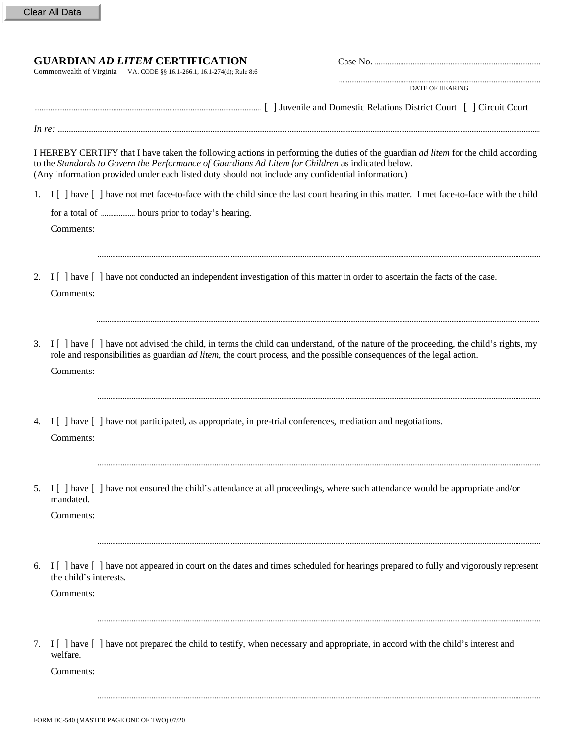## **GUARDIAN** *AD LITEM* **CERTIFICATION** Case No. ............................................................................................

Commonwealth of Virginia VA. CODE §§ 16.1-266.1, 16.1-274(d); Rule 8:6

DATE OF HEARING

................................................................................................................

|  |  |  | <b>Relations</b><br>. District G<br>Domestic.<br>. .'ourt<br>and<br>anventle a | <b><i><u>AAAAAAA</u></i></b> |  |
|--|--|--|--------------------------------------------------------------------------------|------------------------------|--|
|--|--|--|--------------------------------------------------------------------------------|------------------------------|--|

I HEREBY CERTIFY that I have taken the following actions in performing the duties of the guardian *ad litem* for the child according to the *Standards to Govern the Performance of Guardians Ad Litem for Children* as indicated below. (Any information provided under each listed duty should not include any confidential information.)

*In re:* ............................................................................................................................................................................................................................................................................

1. I [ ] have [ ] have not met face-to-face with the child since the last court hearing in this matter. I met face-to-face with the child

......................................................................................................................................................................................................................................................

......................................................................................................................................................................................................................................................

......................................................................................................................................................................................................................................................

......................................................................................................................................................................................................................................................

for a total of ................... hours prior to today's hearing.

Comments:

- 2. I [ ] have [ ] have not conducted an independent investigation of this matter in order to ascertain the facts of the case. Comments:
- 3. I [ ] have [ ] have not advised the child, in terms the child can understand, of the nature of the proceeding, the child's rights, my role and responsibilities as guardian *ad litem*, the court process, and the possible consequences of the legal action. Comments:
- 4. I [ ] have [ ] have not participated, as appropriate, in pre-trial conferences, mediation and negotiations. Comments:
- 5. I [ ] have [ ] have not ensured the child's attendance at all proceedings, where such attendance would be appropriate and/or mandated.

Comments:

6. I [ ] have [ ] have not appeared in court on the dates and times scheduled for hearings prepared to fully and vigorously represent the child's interests.

Comments:

7. I [ ] have [ ] have not prepared the child to testify, when necessary and appropriate, in accord with the child's interest and welfare.

......................................................................................................................................................................................................................................................

......................................................................................................................................................................................................................................................

Comments: